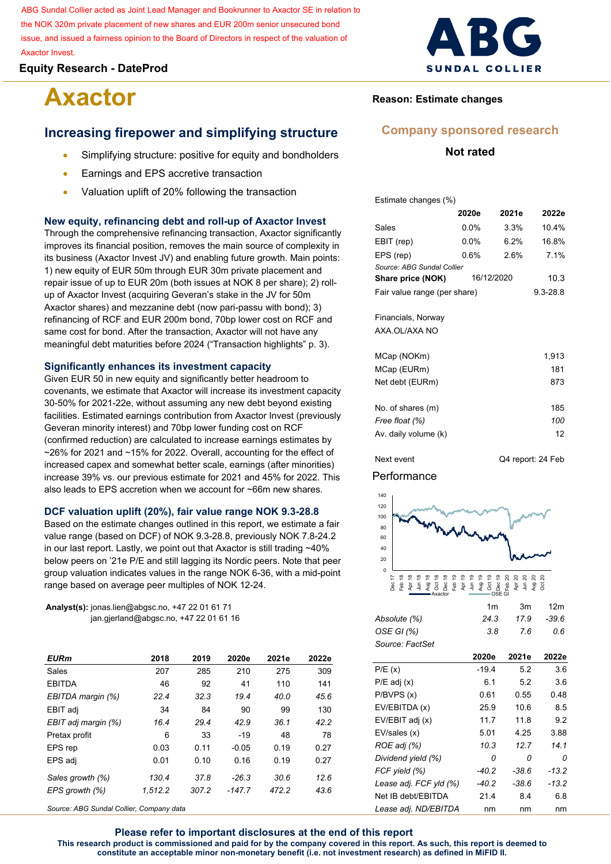ABG Sundal Collier acted as Joint Lead Manager and Bookrunner to Axactor SE in relation to the NOK 320m private placement of new shares and EUR 200m senior unsecured bond issue, and issued a fairness opinion to the Board of Directors in respect of the valuation of Axactor Invest.

## **Equity Research - DateProd**

# **Axactor**

# **Increasing firepower and simplifying structure**

- Simplifying structure: positive for equity and bondholders
- Earnings and EPS accretive transaction
- Valuation uplift of 20% following the transaction

#### **New equity, refinancing debt and roll-up of Axactor Invest**

Through the comprehensive refinancing transaction, Axactor significantly improves its financial position, removes the main source of complexity in its business (Axactor Invest JV) and enabling future growth. Main points: 1) new equity of EUR 50m through EUR 30m private placement and repair issue of up to EUR 20m (both issues at NOK 8 per share); 2) rollup of Axactor Invest (acquiring Geveran's stake in the JV for 50m Axactor shares) and mezzanine debt (now pari-passu with bond); 3) refinancing of RCF and EUR 200m bond, 70bp lower cost on RCF and same cost for bond. After the transaction, Axactor will not have any meaningful debt maturities before 2024 ("Transaction highlights" p. 3).

#### **Significantly enhances its investment capacity**

Given EUR 50 in new equity and significantly better headroom to covenants, we estimate that Axactor will increase its investment capacity 30-50% for 2021-22e, without assuming any new debt beyond existing facilities. Estimated earnings contribution from Axactor Invest (previously Geveran minority interest) and 70bp lower funding cost on RCF (confirmed reduction) are calculated to increase earnings estimates by ~26% for 2021 and ~15% for 2022. Overall, accounting for the effect of increased capex and somewhat better scale, earnings (after minorities) increase 39% vs. our previous estimate for 2021 and 45% for 2022. This also leads to EPS accretion when we account for ~66m new shares.

#### **DCF valuation uplift (20%), fair value range NOK 9.3-28.8**

Based on the estimate changes outlined in this report, we estimate a fair value range (based on DCF) of NOK 9.3-28.8, previously NOK 7.8-24.2 in our last report. Lastly, we point out that Axactor is still trading ~40% below peers on '21e P/E and still lagging its Nordic peers. Note that peer group valuation indicates values in the range NOK 6-36, with a mid-point range based on average peer multiples of NOK 12-24.

**Analyst(s):** jonas.lien@abgsc.no, +47 22 01 61 71 jan.gjerland@abgsc.no, +47 22 01 61 16

| <b>EURm</b>         | 2018    | 2019  | 2020e    | 2021e | 2022e |
|---------------------|---------|-------|----------|-------|-------|
| <b>Sales</b>        | 207     | 285   | 210      | 275   | 309   |
| <b>FRITDA</b>       | 46      | 92    | 41       | 110   | 141   |
| EBITDA margin (%)   | 224     | 32.3  | 19.4     | 40.0  | 45.6  |
| EBIT adj            | 34      | 84    | 90       | 99    | 130   |
| EBIT adj margin (%) | 16.4    | 29.4  | 42.9     | 36.1  | 42.2  |
| Pretax profit       | 6       | 33    | $-19$    | 48    | 78    |
| EPS rep             | 0.03    | 0.11  | $-0.05$  | 0.19  | 0.27  |
| EPS adj             | 0.01    | 0.10  | 0.16     | 0.19  | 0.27  |
| Sales growth (%)    | 130.4   | 37.8  | $-26.3$  | 30.6  | 12.6  |
| EPS growth (%)      | 1.512.2 | 307.2 | $-147.7$ | 472.2 | 43.6  |
|                     |         |       |          |       |       |

*Source: ABG Sundal Collier, Company data*



# **Reason: Estimate changes**

## **Company sponsored research**

## **Not rated**

Estimate changes (%)

|                              | 2020e   | 2021e      | 2022e        |
|------------------------------|---------|------------|--------------|
| Sales                        | $0.0\%$ | 3.3%       | 10.4%        |
| EBIT (rep)                   | $0.0\%$ | 6 2%       | 16.8%        |
| EPS (rep)                    | 0.6%    | 2.6%       | 7.1%         |
| Source: ABG Sundal Collier   |         |            |              |
| Share price (NOK)            |         | 16/12/2020 | 10.3         |
| Fair value range (per share) |         |            | $9.3 - 28.8$ |
|                              |         |            |              |
| Financials, Norway           |         |            |              |
| AXA OL/AXA NO                |         |            |              |
| MCap (NOKm)                  |         |            | 1.913        |

| <b>IVICAP (INONIII)</b> | 5 ا 3. |
|-------------------------|--------|
| MCap (EURm)             | 181    |
| Net debt (EURm)         | 873    |
| No. of shares (m)       | 185    |
| Free float (%)          | 100    |
| Av. daily volume (k)    | 12     |

Next event Q4 report: 24 Feb

#### **Performance**



|                 | 1 <sub>m</sub> | 3m   | 12 <sub>m</sub> |
|-----------------|----------------|------|-----------------|
| Absolute (%)    | 24.3           | 17.9 | -39.6           |
| OSE GI (%)      | 38             | - 76 | 0.6             |
| Source: FactSet |                |      |                 |

|                        | 2020e   | 2021e   | 2022e   |
|------------------------|---------|---------|---------|
| P/E(x)                 | $-19.4$ | 5.2     | 3.6     |
| P/E adj (x)            | 61      | 5.2     | 3.6     |
| P/BVPS (x)             | 0.61    | 0.55    | 0.48    |
| EV/EBITDA (x)          | 25.9    | 10.6    | 8.5     |
| EV/EBIT adj (x)        | 117     | 11.8    | 9.2     |
| EV/sales (x)           | 5.01    | 4.25    | 3.88    |
| ROE adj (%)            | 10.3    | 12 7    | 14 1    |
| Dividend yield (%)     | n       | n       | Ω       |
| FCF yield (%)          | -40.2   | -38.6   | $-13.2$ |
| Lease adj. FCF yld (%) | $-40.2$ | $-38.6$ | $-13.2$ |
| Net IB debt/FBITDA     | 214     | 84      | 6.8     |
| Lease adj. ND/EBITDA   | nm      | nm      | nm      |

**Please refer to important disclosures at the end of this report This research product is commissioned and paid for by the company covered in this report. As such, this report is deemed to constitute an acceptable minor non-monetary benefit (i.e. not investment research) as defined in MiFID II.**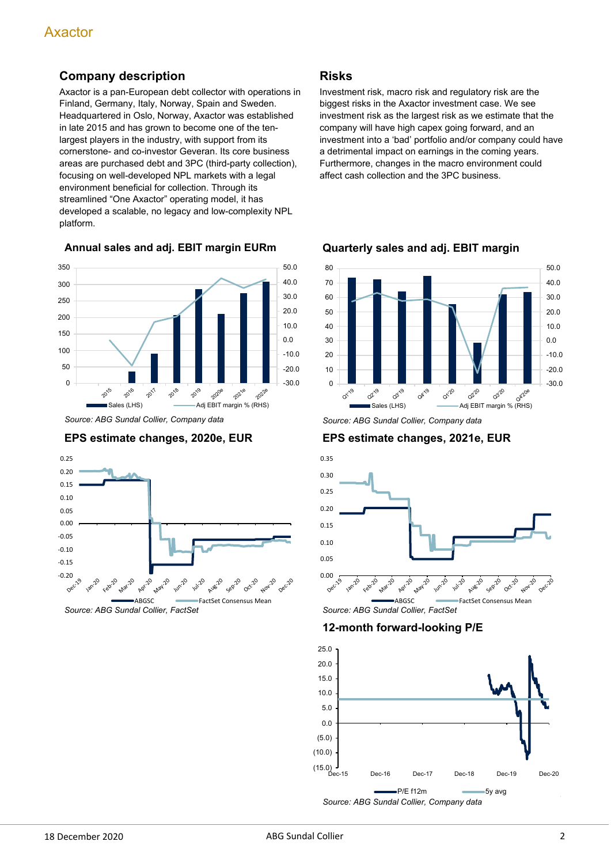# **Company description**

Axactor is a pan-European debt collector with operations in Finland, Germany, Italy, Norway, Spain and Sweden. Headquartered in Oslo, Norway, Axactor was established in late 2015 and has grown to become one of the tenlargest players in the industry, with support from its cornerstone- and co-investor Geveran. Its core business areas are purchased debt and 3PC (third-party collection), focusing on well-developed NPL markets with a legal environment beneficial for collection. Through its streamlined "One Axactor" operating model, it has developed a scalable, no legacy and low-complexity NPL platform.

**Annual sales and adj. EBIT margin EURm**



*Source: ABG Sundal Collier, Company data*

# **EPS estimate changes, 2020e, EUR**



**Risks**

Investment risk, macro risk and regulatory risk are the biggest risks in the Axactor investment case. We see investment risk as the largest risk as we estimate that the company will have high capex going forward, and an investment into a 'bad' portfolio and/or company could have a detrimental impact on earnings in the coming years. Furthermore, changes in the macro environment could affect cash collection and the 3PC business.



**Quarterly sales and adj. EBIT margin**

*Source: ABG Sundal Collier, Company data*

## **EPS estimate changes, 2021e, EUR**



# **12-month forward-looking P/E**

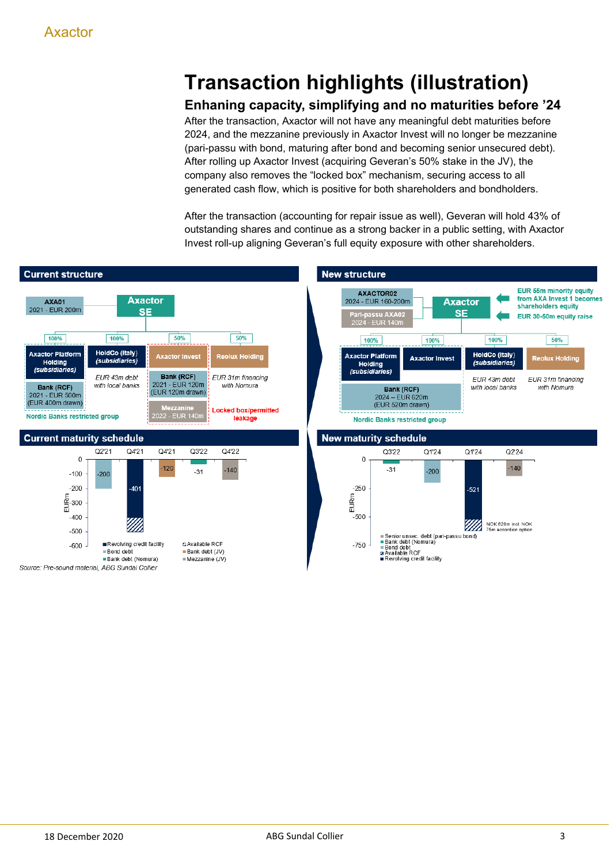# **Transaction highlights (illustration)**

# **Enhaning capacity, simplifying and no maturities before '24**

After the transaction, Axactor will not have any meaningful debt maturities before 2024, and the mezzanine previously in Axactor Invest will no longer be mezzanine (pari-passu with bond, maturing after bond and becoming senior unsecured debt). After rolling up Axactor Invest (acquiring Geveran's 50% stake in the JV), the company also removes the "locked box" mechanism, securing access to all generated cash flow, which is positive for both shareholders and bondholders.

After the transaction (accounting for repair issue as well), Geveran will hold 43% of outstanding shares and continue as a strong backer in a public setting, with Axactor Invest roll-up aligning Geveran's full equity exposure with other shareholders.

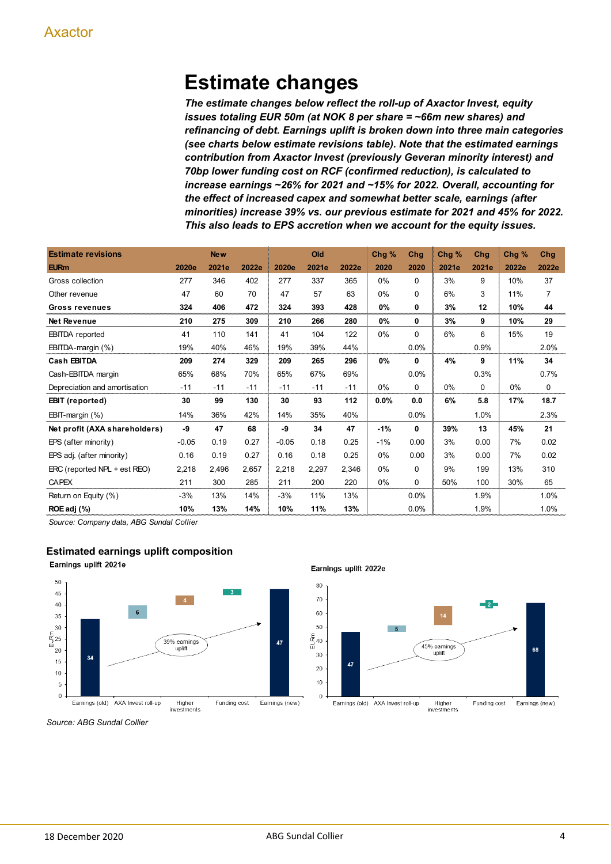# **Estimate changes**

*The estimate changes below reflect the roll-up of Axactor Invest, equity issues totaling EUR 50m (at NOK 8 per share = ~66m new shares) and refinancing of debt. Earnings uplift is broken down into three main categories (see charts below estimate revisions table). Note that the estimated earnings contribution from Axactor Invest (previously Geveran minority interest) and 70bp lower funding cost on RCF (confirmed reduction), is calculated to increase earnings ~26% for 2021 and ~15% for 2022. Overall, accounting for the effect of increased capex and somewhat better scale, earnings (after minorities) increase 39% vs. our previous estimate for 2021 and 45% for 2022. This also leads to EPS accretion when we account for the equity issues.*

| <b>Estimate revisions</b>     |         | <b>New</b> |       |         | Old   |       | Chg % | Chg          | Chg % | Chg      | Chg % | Chg            |
|-------------------------------|---------|------------|-------|---------|-------|-------|-------|--------------|-------|----------|-------|----------------|
| <b>EURm</b>                   | 2020e   | 2021e      | 2022e | 2020e   | 2021e | 2022e | 2020  | 2020         | 2021e | 2021e    | 2022e | 2022e          |
| Gross collection              | 277     | 346        | 402   | 277     | 337   | 365   | 0%    | $\Omega$     | 3%    | 9        | 10%   | 37             |
| Other revenue                 | 47      | 60         | 70    | 47      | 57    | 63    | 0%    | $\Omega$     | 6%    | 3        | 11%   | $\overline{7}$ |
| <b>Gross revenues</b>         | 324     | 406        | 472   | 324     | 393   | 428   | 0%    | 0            | 3%    | 12       | 10%   | 44             |
| <b>Net Revenue</b>            | 210     | 275        | 309   | 210     | 266   | 280   | 0%    | 0            | 3%    | 9        | 10%   | 29             |
| <b>EBITDA</b> reported        | 41      | 110        | 141   | 41      | 104   | 122   | 0%    | $\Omega$     | 6%    | 6        | 15%   | 19             |
| EBITDA-margin (%)             | 19%     | 40%        | 46%   | 19%     | 39%   | 44%   |       | 0.0%         |       | 0.9%     |       | 2.0%           |
| Cash EBITDA                   | 209     | 274        | 329   | 209     | 265   | 296   | 0%    | $\mathbf{0}$ | 4%    | 9        | 11%   | 34             |
| Cash-EBITDA margin            | 65%     | 68%        | 70%   | 65%     | 67%   | 69%   |       | 0.0%         |       | 0.3%     |       | 0.7%           |
| Depreciation and amortisation | $-11$   | $-11$      | $-11$ | $-11$   | $-11$ | $-11$ | 0%    | $\Omega$     | 0%    | $\Omega$ | 0%    | $\Omega$       |
| <b>EBIT</b> (reported)        | 30      | 99         | 130   | 30      | 93    | 112   | 0.0%  | 0.0          | 6%    | 5.8      | 17%   | 18.7           |
| EBIT-margin (%)               | 14%     | 36%        | 42%   | 14%     | 35%   | 40%   |       | 0.0%         |       | 1.0%     |       | 2.3%           |
| Net profit (AXA shareholders) | -9      | 47         | 68    | -9      | 34    | 47    | $-1%$ | $\mathbf{0}$ | 39%   | 13       | 45%   | 21             |
| EPS (after minority)          | $-0.05$ | 0.19       | 0.27  | $-0.05$ | 0.18  | 0.25  | $-1%$ | 0.00         | 3%    | 0.00     | 7%    | 0.02           |
| EPS adj. (after minority)     | 0.16    | 0.19       | 0.27  | 0.16    | 0.18  | 0.25  | 0%    | 0.00         | 3%    | 0.00     | 7%    | 0.02           |
| ERC (reported NPL + est REO)  | 2,218   | 2,496      | 2,657 | 2,218   | 2,297 | 2,346 | 0%    | $\Omega$     | 9%    | 199      | 13%   | 310            |
| <b>CAPEX</b>                  | 211     | 300        | 285   | 211     | 200   | 220   | 0%    | $\Omega$     | 50%   | 100      | 30%   | 65             |
| Return on Equity (%)          | $-3%$   | 13%        | 14%   | $-3%$   | 11%   | 13%   |       | 0.0%         |       | 1.9%     |       | 1.0%           |
| ROE adj (%)                   | 10%     | 13%        | 14%   | 10%     | 11%   | 13%   |       | 0.0%         |       | 1.9%     |       | 1.0%           |

*Source: Company data, ABG Sundal Collier*

## **Estimated earnings uplift composition**

Earnings uplift 2021e



Earnings uplift 2022e



*Source: ABG Sundal Collier*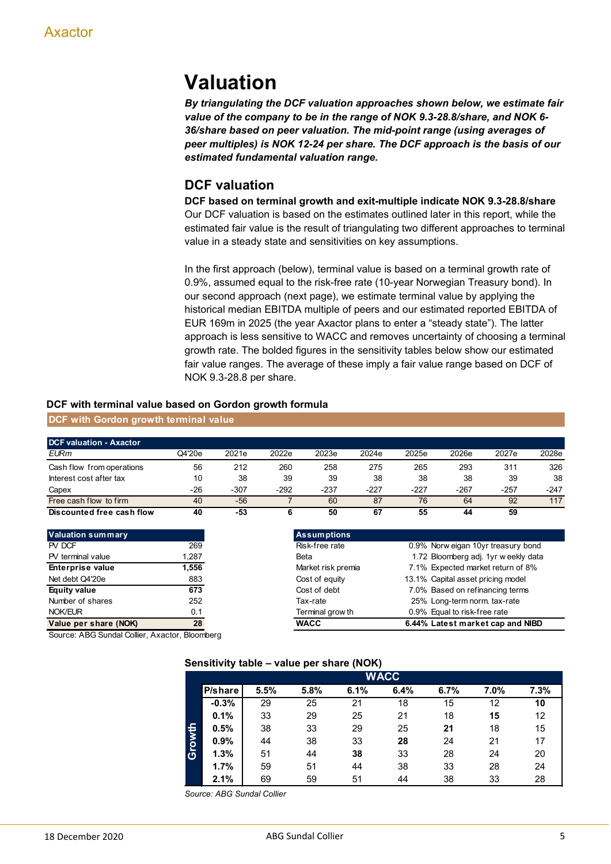# **Valuation**

*By triangulating the DCF valuation approaches shown below, we estimate fair value of the company to be in the range of NOK 9.3-28.8/share, and NOK 6- 36/share based on peer valuation. The mid-point range (using averages of peer multiples) is NOK 12-24 per share. The DCF approach is the basis of our estimated fundamental valuation range.*

# **DCF valuation**

**DCF based on terminal growth and exit-multiple indicate NOK 9.3-28.8/share** Our DCF valuation is based on the estimates outlined later in this report, while the estimated fair value is the result of triangulating two different approaches to terminal value in a steady state and sensitivities on key assumptions.

In the first approach (below), terminal value is based on a terminal growth rate of 0.9%, assumed equal to the risk-free rate (10-year Norwegian Treasury bond). In our second approach (next page), we estimate terminal value by applying the historical median EBITDA multiple of peers and our estimated reported EBITDA of EUR 169m in 2025 (the year Axactor plans to enter a "steady state"). The latter approach is less sensitive to WACC and removes uncertainty of choosing a terminal growth rate. The bolded figures in the sensitivity tables below show our estimated fair value ranges. The average of these imply a fair value range based on DCF of NOK 9.3-28.8 per share.

#### **DCF with terminal value based on Gordon growth formula**

| DCF with Gordon growth terminal value |  |
|---------------------------------------|--|
|---------------------------------------|--|

| <b>DCF valuation - Axactor</b> |        |        |        |        |        |        |        |        |        |
|--------------------------------|--------|--------|--------|--------|--------|--------|--------|--------|--------|
| <b>EURm</b>                    | Q4'20e | 2021e  | 2022e  | 2023e  | 2024e  | 2025e  | 2026e  | 2027e  | 2028e  |
| Cash flow from operations      | 56     | 212    | 260    | 258    | 275    | 265    | 293    | 311    | 326    |
| Interest cost after tax        | 10     | 38     | 39     | 39     | 38     | 38     | 38     | 39     | 38     |
| Capex                          | $-26$  | $-307$ | $-292$ | $-237$ | $-227$ | $-227$ | $-267$ | $-257$ | $-247$ |
| Free cash flow to firm         | 40     | -56    |        | 60     | 87     | 76     | 64     | 92     | 117    |
| Discounted free cash flow      | 40     | -53    |        | 50     | 67     | 55     | 44     | 59     |        |

| <b>Valuation summary</b> |       | <b>Assumptions</b> |
|--------------------------|-------|--------------------|
| PV DCF                   | 269   | Risk-free rate     |
| PV terminal value        | 1,287 | Beta               |
| <b>Enterprise value</b>  | 1,556 | Market risk pren   |
| Net debt Q4'20e          | 883   | Cost of equity     |
| <b>Equity value</b>      | 673   | Cost of debt       |
| Number of shares         | 252   | Tax-rate           |
| NOK/EUR                  | 0.1   | Terminal grow th   |
| Value per share (NOK)    | 28    | <b>WACC</b>        |

| <b>Valuation summary</b> |       | <b>Assumptions</b> |                                      |
|--------------------------|-------|--------------------|--------------------------------------|
| PV DCF                   | 269   | Risk-free rate     | 0.9% Norw eigan 10yr treasury bond   |
| PV terminal value        | 1,287 | Beta               | 1.72 Bloomberg adj. 1yr w eekly data |
| <b>Enterprise value</b>  | 1.556 | Market risk premia | 7.1% Expected market return of 8%    |
| Net debt Q4'20e          | 883   | Cost of equity     | 13.1% Capital asset pricing model    |
| Equity value             | 673   | Cost of debt       | 7.0% Based on refinancing terms      |
| Number of shares         | 252   | Tax-rate           | 25% Long-term norm. tax-rate         |
| <b>NOK/EUR</b>           | 0.1   | Terminal grow th   | 0.9% Equal to risk-free rate         |
| Value per share (NOK)    | 28    | <b>WACC</b>        | 6.44% Latest market cap and NIBD     |
|                          |       |                    |                                      |

Source: ABG Sundal Collier, Axactor, Bloomberg

#### **Sensitivity table – value per share (NOK)**

|        |         |      |      |      | <b>WACC</b> |      |      |      |
|--------|---------|------|------|------|-------------|------|------|------|
|        | P/share | 5.5% | 5.8% | 6.1% | 6.4%        | 6.7% | 7.0% | 7.3% |
|        | $-0.3%$ | 29   | 25   | 21   | 18          | 15   | 12   | 10   |
|        | 0.1%    | 33   | 29   | 25   | 21          | 18   | 15   | 12   |
|        | 0.5%    | 38   | 33   | 29   | 25          | 21   | 18   | 15   |
| Growth | 0.9%    | 44   | 38   | 33   | 28          | 24   | 21   | 17   |
|        | 1.3%    | 51   | 44   | 38   | 33          | 28   | 24   | 20   |
|        | 1.7%    | 59   | 51   | 44   | 38          | 33   | 28   | 24   |
|        | 2.1%    | 69   | 59   | 51   | 44          | 38   | 33   | 28   |

*Source: ABG Sundal Collier*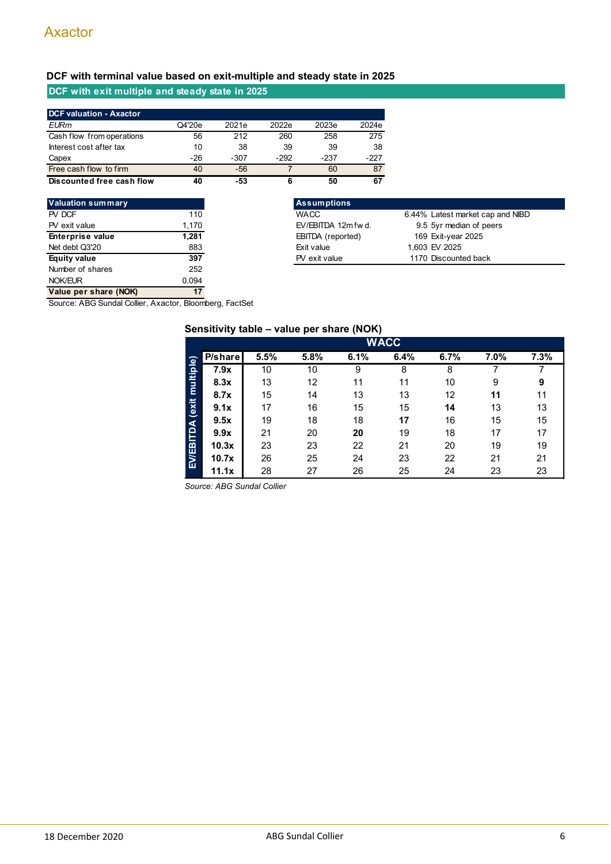# **DCF with terminal value based on exit-multiple and steady state in 2025**

# **DCF with exit multiple and steady state in 2025**

| <b>DCF valuation - Axactor</b> |        |       |       |       |       |
|--------------------------------|--------|-------|-------|-------|-------|
| <b>EURm</b>                    | Q4'20e | 2021e | 2022e | 2023e | 2024e |
| Cash flow from operations      | 56     | 212   | 260   | 258   | 275   |
| Interest cost after tax        | 10     | 38    | 39    | 39    | 38    |
| Capex                          | -26    | -307  | -292  | -237  | -227  |
| Free cash flow to firm         | 40     | -56   |       | 60    | 87    |
| Discounted free cash flow      | 40     | -53   | 6     | 50    | 67    |

| <b>Valuation summary</b> |       | <b>Assumptions</b>     |
|--------------------------|-------|------------------------|
| PV DCF                   | 110   | <b>WACC</b>            |
| PV exit value            | 1,170 | EV/EBITDA 12m          |
| <b>Enterprise value</b>  | 1,281 | <b>EBITDA</b> (reporte |
| Net debt Q3'20           | 883   | Exit value             |
| Equity value             | 397   | PV exit value          |
| Number of shares         | 252   |                        |
| NOK/EUR                  | 0.094 |                        |
| Value per share (NOK)    | 17    |                        |

| Valuation summary       |       | <b>Assumptions</b>  |                                  |  |
|-------------------------|-------|---------------------|----------------------------------|--|
| PV DCF                  | 110   | <b>WACC</b>         | 6.44% Latest market cap and NIBD |  |
| PV exit value           | 1.170 | EV/EBITDA 12m fw d. | 9.5 5yr median of peers          |  |
| <b>Enterprise value</b> | 1,281 | EBITDA (reported)   | 169 Exit-year 2025               |  |
| Net debt Q3'20          | 883   | Exit value          | 1,603 EV 2025                    |  |
| Equity value            | 397   | PV exit value       | 1170 Discounted back             |  |
| Number of oberoo        | ר בר  |                     |                                  |  |

Source: ABG Sundal Collier, Axactor, Bloomberg, FactSet

# **Sensitivity table – value per share (NOK)**

|                | <b>WACC</b> |      |      |      |      |      |      |      |  |  |  |  |  |
|----------------|-------------|------|------|------|------|------|------|------|--|--|--|--|--|
|                | P/share     | 5.5% | 5.8% | 6.1% | 6.4% | 6.7% | 7.0% | 7.3% |  |  |  |  |  |
| multiple)      | 7.9x        | 10   | 10   | 9    | 8    | 8    |      |      |  |  |  |  |  |
|                | 8.3x        | 13   | 12   | 11   | 11   | 10   | 9    | 9    |  |  |  |  |  |
|                | 8.7x        | 15   | 14   | 13   | 13   | 12   | 11   | 11   |  |  |  |  |  |
|                | 9.1x        | 17   | 16   | 15   | 15   | 14   | 13   | 13   |  |  |  |  |  |
|                | 9.5x        | 19   | 18   | 18   | 17   | 16   | 15   | 15   |  |  |  |  |  |
|                | 9.9x        | 21   | 20   | 20   | 19   | 18   | 17   | 17   |  |  |  |  |  |
|                | 10.3x       | 23   | 23   | 22   | 21   | 20   | 19   | 19   |  |  |  |  |  |
| EVEBITDA (exit | 10.7x       | 26   | 25   | 24   | 23   | 22   | 21   | 21   |  |  |  |  |  |
|                | 11.1x       | 28   | 27   | 26   | 25   | 24   | 23   | 23   |  |  |  |  |  |

*Source: ABG Sundal Collier*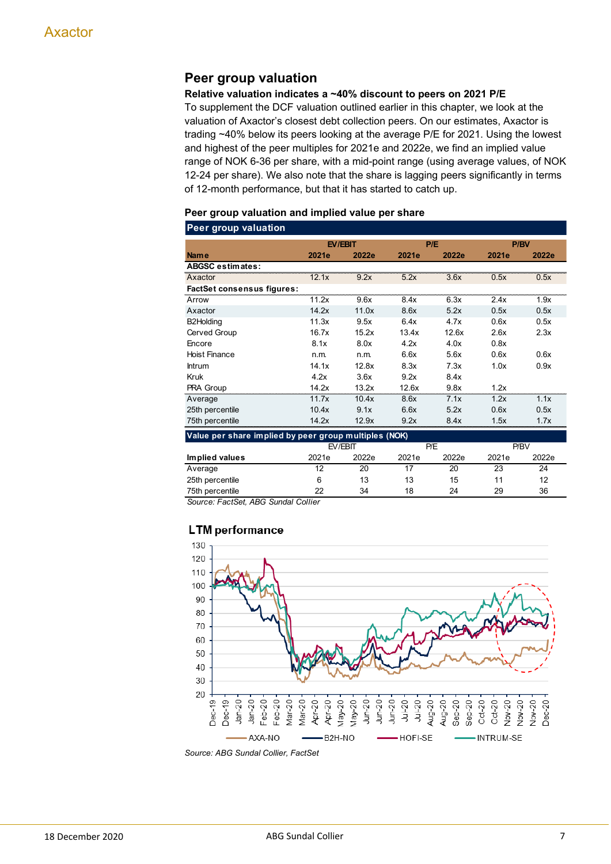# **Peer group valuation**

### **Relative valuation indicates a ~40% discount to peers on 2021 P/E**

To supplement the DCF valuation outlined earlier in this chapter, we look at the valuation of Axactor's closest debt collection peers. On our estimates, Axactor is trading ~40% below its peers looking at the average P/E for 2021. Using the lowest and highest of the peer multiples for 2021e and 2022e, we find an implied value range of NOK 6-36 per share, with a mid-point range (using average values, of NOK 12-24 per share). We also note that the share is lagging peers significantly in terms of 12-month performance, but that it has started to catch up.

### **Peer group valuation and implied value per share**

| <b>Peer group valuation</b>                           |       |         |       |       |       |       |
|-------------------------------------------------------|-------|---------|-------|-------|-------|-------|
|                                                       |       | EV/EBIT |       | P/E   |       | P/BV  |
| <b>Name</b>                                           | 2021e | 2022e   | 2021e | 2022e | 2021e | 2022e |
| <b>ABGSC estimates:</b>                               |       |         |       |       |       |       |
| Axactor                                               | 12.1x | 9.2x    | 5.2x  | 3.6x  | 0.5x  | 0.5x  |
| <b>FactSet consensus figures:</b>                     |       |         |       |       |       |       |
| Arrow                                                 | 11.2x | 9.6x    | 8.4x  | 6.3x  | 2.4x  | 1.9x  |
| Axactor                                               | 14.2x | 11.0x   | 8.6x  | 5.2x  | 0.5x  | 0.5x  |
| B2Holding                                             | 11.3x | 9.5x    | 6.4x  | 4.7x  | 0.6x  | 0.5x  |
| Cerved Group                                          | 16.7x | 15.2x   | 13.4x | 12.6x | 2.6x  | 2.3x  |
| Encore                                                | 8.1x  | 8.0x    | 4.2x  | 4.0x  | 0.8x  |       |
| <b>Hoist Finance</b>                                  | n.m.  | n.m.    | 6.6x  | 5.6x  | 0.6x  | 0.6x  |
| <b>Intrum</b>                                         | 14.1x | 12.8x   | 8.3x  | 7.3x  | 1.0x  | 0.9x  |
| Kruk                                                  | 4.2x  | 3.6x    | 9.2x  | 8.4x  |       |       |
| PRA Group                                             | 14.2x | 13.2x   | 12.6x | 9.8x  | 1.2x  |       |
| Average                                               | 11.7x | 10.4x   | 8.6x  | 7.1x  | 1.2x  | 1.1x  |
| 25th percentile                                       | 10.4x | 9.1x    | 6.6x  | 5.2x  | 0.6x  | 0.5x  |
| 75th percentile                                       | 14.2x | 12.9x   | 9.2x  | 8.4x  | 1.5x  | 1.7x  |
| Value per share implied by peer group multiples (NOK) |       |         |       |       |       |       |
|                                                       |       | EV/EBIT |       | P/E   |       | P/BV  |
| Implied values                                        | 2021e | 2022e   | 2021e | 2022e | 2021e | 2022e |
| Average                                               | 12    | 20      | 17    | 20    | 23    | 24    |
| 25th percentile                                       | 6     | 13      | 13    | 15    | 11    | 12    |
| 75th percentile                                       | 22    | 34      | 18    | 24    | 29    | 36    |

*Source: FactSet, ABG Sundal Collier*

# **LTM** performance

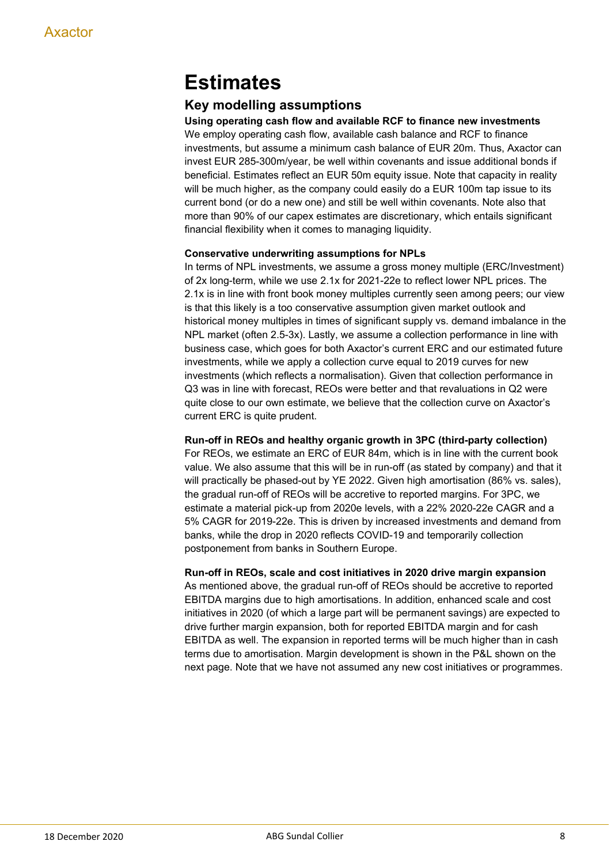# **Estimates**

# **Key modelling assumptions**

**Using operating cash flow and available RCF to finance new investments** We employ operating cash flow, available cash balance and RCF to finance investments, but assume a minimum cash balance of EUR 20m. Thus, Axactor can invest EUR 285-300m/year, be well within covenants and issue additional bonds if beneficial. Estimates reflect an EUR 50m equity issue. Note that capacity in reality will be much higher, as the company could easily do a EUR 100m tap issue to its current bond (or do a new one) and still be well within covenants. Note also that more than 90% of our capex estimates are discretionary, which entails significant financial flexibility when it comes to managing liquidity.

# **Conservative underwriting assumptions for NPLs**

In terms of NPL investments, we assume a gross money multiple (ERC/Investment) of 2x long-term, while we use 2.1x for 2021-22e to reflect lower NPL prices. The 2.1x is in line with front book money multiples currently seen among peers; our view is that this likely is a too conservative assumption given market outlook and historical money multiples in times of significant supply vs. demand imbalance in the NPL market (often 2.5-3x). Lastly, we assume a collection performance in line with business case, which goes for both Axactor's current ERC and our estimated future investments, while we apply a collection curve equal to 2019 curves for new investments (which reflects a normalisation). Given that collection performance in Q3 was in line with forecast, REOs were better and that revaluations in Q2 were quite close to our own estimate, we believe that the collection curve on Axactor's current ERC is quite prudent.

## **Run-off in REOs and healthy organic growth in 3PC (third-party collection)**

For REOs, we estimate an ERC of EUR 84m, which is in line with the current book value. We also assume that this will be in run-off (as stated by company) and that it will practically be phased-out by YE 2022. Given high amortisation (86% vs. sales), the gradual run-off of REOs will be accretive to reported margins. For 3PC, we estimate a material pick-up from 2020e levels, with a 22% 2020-22e CAGR and a 5% CAGR for 2019-22e. This is driven by increased investments and demand from banks, while the drop in 2020 reflects COVID-19 and temporarily collection postponement from banks in Southern Europe.

## **Run-off in REOs, scale and cost initiatives in 2020 drive margin expansion**

As mentioned above, the gradual run-off of REOs should be accretive to reported EBITDA margins due to high amortisations. In addition, enhanced scale and cost initiatives in 2020 (of which a large part will be permanent savings) are expected to drive further margin expansion, both for reported EBITDA margin and for cash EBITDA as well. The expansion in reported terms will be much higher than in cash terms due to amortisation. Margin development is shown in the P&L shown on the next page. Note that we have not assumed any new cost initiatives or programmes.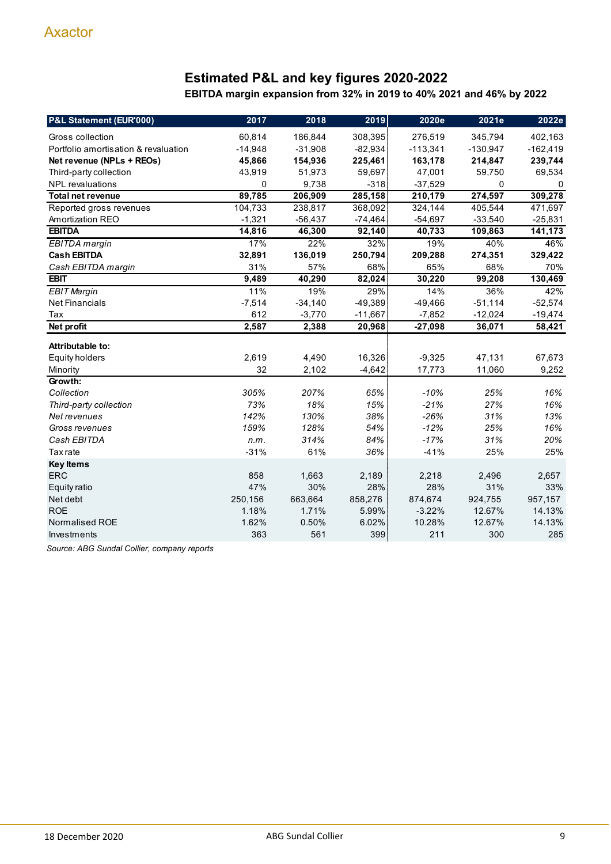# **Estimated P&L and key figures 2020-2022**

**EBITDA margin expansion from 32% in 2019 to 40% 2021 and 46% by 2022**

| P&L Statement (EUR'000)              | 2017      | 2018      | 2019      | 2020e      | 2021e      | 2022e       |
|--------------------------------------|-----------|-----------|-----------|------------|------------|-------------|
| Gross collection                     | 60,814    | 186,844   | 308,395   | 276,519    | 345,794    | 402,163     |
| Portfolio amortisation & revaluation | $-14,948$ | $-31,908$ | $-82,934$ | $-113,341$ | $-130,947$ | $-162,419$  |
| Net revenue (NPLs + REOs)            | 45,866    | 154,936   | 225,461   | 163,178    | 214,847    | 239,744     |
| Third-party collection               | 43,919    | 51,973    | 59,697    | 47,001     | 59,750     | 69,534      |
| <b>NPL</b> revaluations              | 0         | 9,738     | $-318$    | $-37,529$  | 0          | $\mathbf 0$ |
| <b>Total net revenue</b>             | 89,785    | 206,909   | 285,158   | 210,179    | 274,597    | 309,278     |
| Reported gross revenues              | 104,733   | 238,817   | 368,092   | 324,144    | 405,544    | 471,697     |
| Amortization REO                     | $-1,321$  | $-56,437$ | $-74,464$ | $-54,697$  | $-33,540$  | $-25,831$   |
| <b>EBITDA</b>                        | 14,816    | 46,300    | 92,140    | 40,733     | 109,863    | 141,173     |
| <b>EBITDA</b> margin                 | 17%       | 22%       | 32%       | 19%        | 40%        | 46%         |
| <b>Cash EBITDA</b>                   | 32,891    | 136,019   | 250,794   | 209,288    | 274,351    | 329,422     |
| Cash EBITDA margin                   | 31%       | 57%       | 68%       | 65%        | 68%        | 70%         |
| <b>EBIT</b>                          | 9,489     | 40,290    | 82,024    | 30,220     | 99,208     | 130,469     |
| <b>EBIT Margin</b>                   | 11%       | 19%       | 29%       | 14%        | 36%        | 42%         |
| <b>Net Financials</b>                | $-7,514$  | $-34,140$ | $-49,389$ | $-49,466$  | $-51,114$  | $-52,574$   |
| Tax                                  | 612       | $-3,770$  | $-11,667$ | $-7,852$   | $-12,024$  | $-19,474$   |
| Net profit                           | 2,587     | 2,388     | 20,968    | $-27,098$  | 36,071     | 58,421      |
| Attributable to:                     |           |           |           |            |            |             |
| <b>Equity holders</b>                | 2,619     | 4,490     | 16,326    | $-9,325$   | 47,131     | 67,673      |
| Minority                             | 32        | 2,102     | $-4,642$  | 17,773     | 11,060     | 9,252       |
| Growth:                              |           |           |           |            |            |             |
| Collection                           | 305%      | 207%      | 65%       | $-10%$     | 25%        | 16%         |
| Third-party collection               | 73%       | 18%       | 15%       | $-21%$     | 27%        | 16%         |
| Net revenues                         | 142%      | 130%      | 38%       | $-26%$     | 31%        | 13%         |
| Gross revenues                       | 159%      | 128%      | 54%       | $-12%$     | 25%        | 16%         |
| Cash EBITDA                          | n.m.      | 314%      | 84%       | $-17%$     | 31%        | 20%         |
| <b>Tax</b> rate                      | $-31%$    | 61%       | 36%       | $-41%$     | 25%        | 25%         |
| <b>Key Items</b>                     |           |           |           |            |            |             |
| <b>ERC</b>                           | 858       | 1,663     | 2,189     | 2,218      | 2,496      | 2,657       |
| Equity ratio                         | 47%       | 30%       | 28%       | 28%        | 31%        | 33%         |
| Net debt                             | 250,156   | 663,664   | 858,276   | 874,674    | 924,755    | 957,157     |
| <b>ROE</b>                           | 1.18%     | 1.71%     | 5.99%     | $-3.22%$   | 12.67%     | 14.13%      |
| <b>Normalised ROE</b>                | 1.62%     | 0.50%     | 6.02%     | 10.28%     | 12.67%     | 14.13%      |
| Investments                          | 363       | 561       | 399       | 211        | 300        | 285         |

*Source: ABG Sundal Collier, company reports*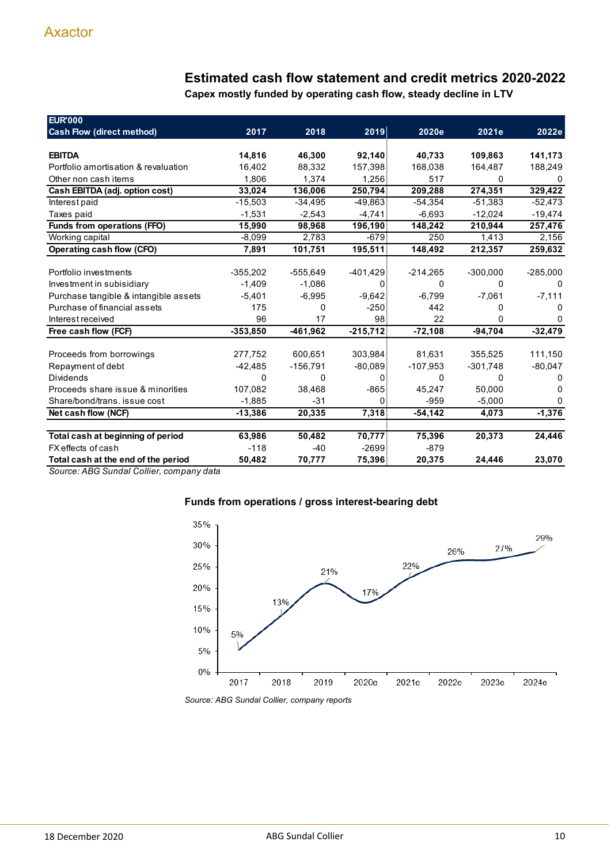# **Estimated cash flow statement and credit metrics 2020-2022**

**Capex mostly funded by operating cash flow, steady decline in LTV**

| <b>EUR'000</b>                        |            |            |            |            |            |              |
|---------------------------------------|------------|------------|------------|------------|------------|--------------|
| <b>Cash Flow (direct method)</b>      | 2017       | 2018       | 2019       | 2020e      | 2021e      | 2022e        |
|                                       |            |            |            |            |            |              |
| <b>EBITDA</b>                         | 14,816     | 46,300     | 92,140     | 40,733     | 109,863    | 141,173      |
| Portfolio amortisation & revaluation  | 16.402     | 88.332     | 157,398    | 168,038    | 164,487    | 188,249      |
| Other non cash items                  | 1,806      | 1,374      | 1,256      | 517        | 0          | 0            |
| Cash EBITDA (adj. option cost)        | 33,024     | 136,006    | 250,794    | 209,288    | 274,351    | 329,422      |
| Interest paid                         | $-15,503$  | $-34,495$  | $-49,863$  | $-54,354$  | $-51,383$  | $-52,473$    |
| Taxes paid                            | $-1,531$   | $-2.543$   | $-4,741$   | $-6.693$   | $-12,024$  | $-19,474$    |
| Funds from operations (FFO)           | 15,990     | 98,968     | 196,190    | 148,242    | 210,944    | 257,476      |
| Working capital                       | -8,099     | 2,783      | $-679$     | 250        | 1,413      | 2,156        |
| Operating cash flow (CFO)             | 7,891      | 101,751    | 195,511    | 148,492    | 212,357    | 259,632      |
|                                       |            |            |            |            |            |              |
| Portfolio investments                 | $-355,202$ | $-555,649$ | $-401,429$ | $-214,265$ | $-300,000$ | $-285,000$   |
| Investment in subisidiary             | $-1,409$   | $-1,086$   | 0          | 0          | 0          | $\Omega$     |
| Purchase tangible & intangible assets | $-5,401$   | $-6,995$   | $-9,642$   | $-6,799$   | $-7,061$   | $-7,111$     |
| Purchase of financial assets          | 175        | $\Omega$   | $-250$     | 442        | 0          | <sup>0</sup> |
| Interest received                     | 96         | 17         | 98         | 22         | 0          | 0            |
| Free cash flow (FCF)                  | $-353,850$ | $-461,962$ | $-215,712$ | $-72,108$  | $-94,704$  | $-32,479$    |
|                                       |            |            |            |            |            |              |
| Proceeds from borrowings              | 277,752    | 600,651    | 303,984    | 81,631     | 355,525    | 111,150      |
| Repayment of debt                     | $-42,485$  | $-156,791$ | $-80,089$  | $-107,953$ | $-301,748$ | $-80,047$    |
| <b>Dividends</b>                      | 0          | $\Omega$   | 0          | 0          | 0          | 0            |
| Proceeds share issue & minorities     | 107,082    | 38,468     | $-865$     | 45,247     | 50.000     | O            |
| Share/bond/trans. issue cost          | $-1,885$   | $-31$      | 0          | $-959$     | $-5,000$   | 0            |
| Net cash flow (NCF)                   | $-13,386$  | 20,335     | 7,318      | $-54,142$  | 4,073      | $-1,376$     |
|                                       |            |            |            |            |            |              |
| Total cash at beginning of period     | 63,986     | 50,482     | 70,777     | 75,396     | 20,373     | 24,446       |
| FX effects of cash                    | $-118$     | $-40$      | $-2699$    | $-879$     |            |              |
| Total cash at the end of the period   | 50,482     | 70,777     | 75,396     | 20,375     | 24.446     | 23,070       |

*Source: ABG Sundal Collier, company data*



# **Funds from operations / gross interest-bearing debt**

*Source: ABG Sundal Collier, company reports*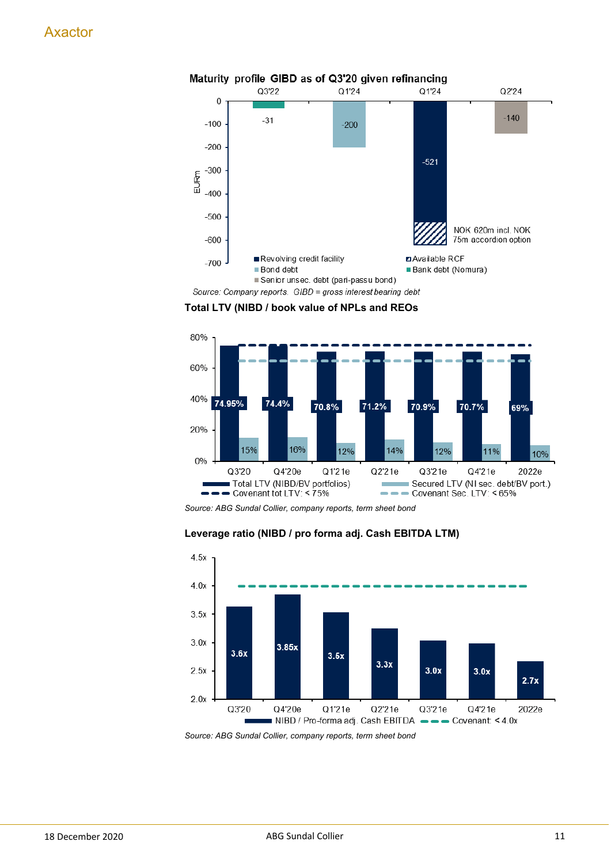

**Total LTV (NIBD / book value of NPLs and REOs**



*Source: ABG Sundal Collier, company reports, term sheet bond*





*Source: ABG Sundal Collier, company reports, term sheet bond*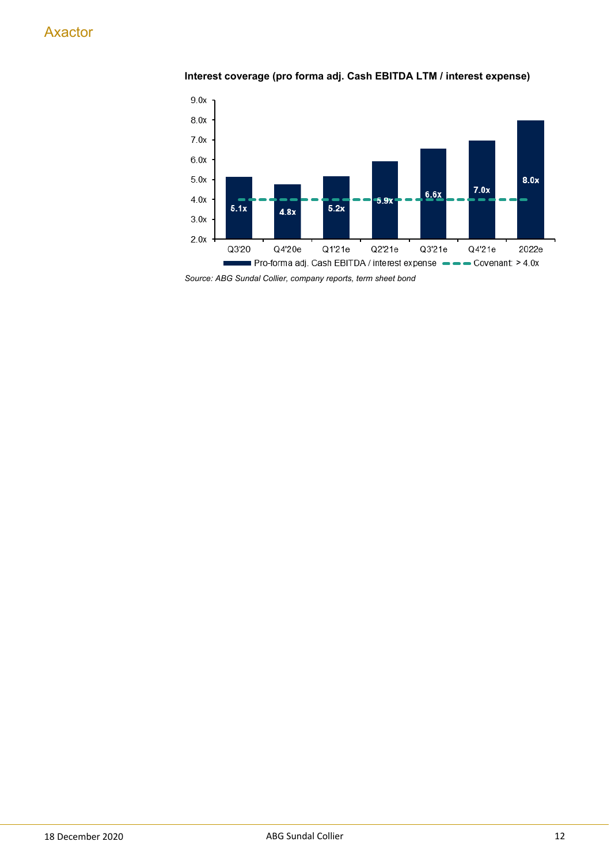# **Interest coverage (pro forma adj. Cash EBITDA LTM / interest expense)**



*Source: ABG Sundal Collier, company reports, term sheet bond*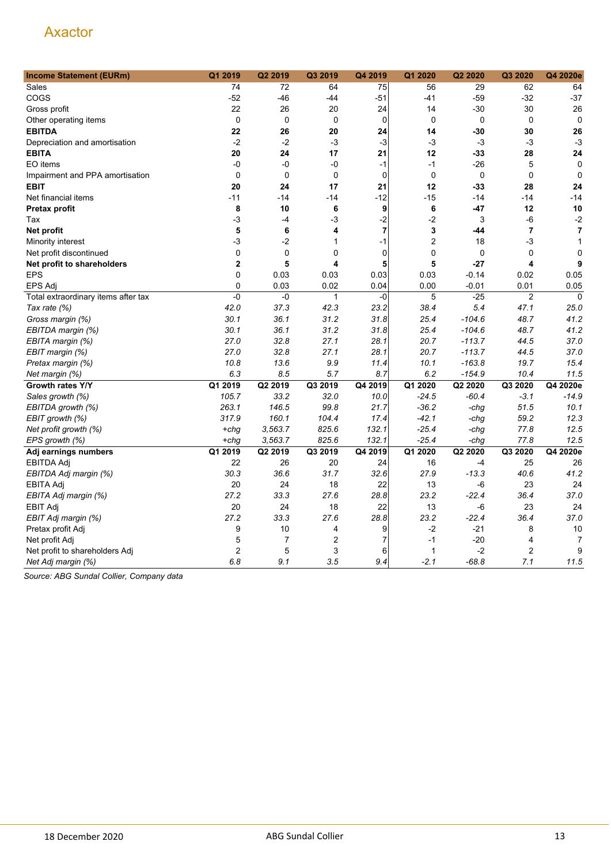| <b>Income Statement (EURm)</b>      | Q1 2019        | Q2 2019     | Q3 2019        | Q4 2019        | Q1 2020        | Q2 2020     | Q3 2020                 | Q4 2020e       |
|-------------------------------------|----------------|-------------|----------------|----------------|----------------|-------------|-------------------------|----------------|
| Sales                               | 74             | 72          | 64             | 75             | 56             | 29          | 62                      | 64             |
| COGS                                | $-52$          | $-46$       | $-44$          | $-51$          | $-41$          | $-59$       | $-32$                   | $-37$          |
| Gross profit                        | 22             | 26          | 20             | 24             | 14             | -30         | 30                      | 26             |
| Other operating items               | 0              | $\mathbf 0$ | 0              | $\mathbf 0$    | $\mathbf 0$    | $\mathbf 0$ | $\mathbf 0$             | $\mathbf 0$    |
| <b>EBITDA</b>                       | 22             | 26          | 20             | 24             | 14             | -30         | 30                      | 26             |
| Depreciation and amortisation       | $-2$           | $-2$        | -3             | -3             | -3             | -3          | $-3$                    | $-3$           |
| <b>EBITA</b>                        | 20             | 24          | 17             | 21             | 12             | -33         | 28                      | 24             |
| EO items                            | -0             | -0          | -0             | $-1$           | $-1$           | $-26$       | 5                       | $\mathbf 0$    |
| Impairment and PPA amortisation     | 0              | $\mathbf 0$ | 0              | $\mathbf 0$    | 0              | $\mathbf 0$ | $\mathbf 0$             | $\mathbf 0$    |
| <b>EBIT</b>                         | 20             | 24          | 17             | 21             | 12             | -33         | 28                      | 24             |
| Net financial items                 | $-11$          | $-14$       | -14            | $-12$          | $-15$          | $-14$       | -14                     | $-14$          |
| Pretax profit                       | 8              | 10          | 6              | 9              | 6              | -47         | 12                      | 10             |
| Tax                                 | $-3$           | -4          | -3             | $-2$           | $-2$           | 3           | $-6$                    | $-2$           |
| Net profit                          | 5              | 6           | 4              | $\overline{7}$ | 3              | -44         | $\overline{7}$          | $\overline{7}$ |
| Minority interest                   | -3             | $-2$        | $\mathbf{1}$   | $-1$           | $\overline{2}$ | 18          | -3                      | $\mathbf{1}$   |
| Net profit discontinued             | 0              | $\mathbf 0$ | $\mathbf 0$    | $\mathbf 0$    | 0              | $\mathbf 0$ | $\mathbf 0$             | $\mathbf 0$    |
| Net profit to shareholders          | $\mathbf 2$    | 5           | 4              | 5              | 5              | $-27$       | $\overline{\mathbf{4}}$ | 9              |
| <b>EPS</b>                          | 0              | 0.03        | 0.03           | 0.03           | 0.03           | $-0.14$     | 0.02                    | 0.05           |
| <b>EPS Adj</b>                      | $\mathbf 0$    | 0.03        | 0.02           | 0.04           | 0.00           | $-0.01$     | 0.01                    | 0.05           |
| Total extraordinary items after tax | $-0$           | -0          | $\mathbf{1}$   | $-0$           | 5              | $-25$       | $\overline{2}$          | $\mathbf 0$    |
| Tax rate (%)                        | 42.0           | 37.3        | 42.3           | 23.2           | 38.4           | 5.4         | 47.1                    | 25.0           |
| Gross margin (%)                    | 30.1           | 36.1        | 31.2           | 31.8           | 25.4           | $-104.6$    | 48.7                    | 41.2           |
| EBITDA margin (%)                   | 30.1           | 36.1        | 31.2           | 31.8           | 25.4           | $-104.6$    | 48.7                    | 41.2           |
| EBITA margin (%)                    | 27.0           | 32.8        | 27.1           | 28.1           | 20.7           | $-113.7$    | 44.5                    | 37.0           |
| EBIT margin (%)                     | 27.0           | 32.8        | 27.1           | 28.1           | 20.7           | $-113.7$    | 44.5                    | 37.0           |
| Pretax margin (%)                   | 10.8           | 13.6        | 9.9            | 11.4           | 10.1           | $-163.8$    | 19.7                    | 15.4           |
| Net margin (%)                      | 6.3            | 8.5         | 5.7            | 8.7            | 6.2            | $-154.9$    | 10.4                    | 11.5           |
| Growth rates Y/Y                    | Q1 2019        | Q2 2019     | Q3 2019        | Q4 2019        | Q1 2020        | Q2 2020     | Q3 2020                 | Q4 2020e       |
| Sales growth (%)                    | 105.7          | 33.2        | 32.0           | 10.0           | $-24.5$        | $-60.4$     | $-3.1$                  | $-14.9$        |
| EBITDA growth (%)                   | 263.1          | 146.5       | 99.8           | 21.7           | $-36.2$        | -chg        | 51.5                    | 10.1           |
| EBIT growth (%)                     | 317.9          | 160.1       | 104.4          | 17.4           | $-42.1$        | $-chq$      | 59.2                    | 12.3           |
| Net profit growth (%)               | $+chq$         | 3,563.7     | 825.6          | 132.1          | $-25.4$        | -chg        | 77.8                    | 12.5           |
| EPS growth (%)                      | $+chg$         | 3,563.7     | 825.6          | 132.1          | $-25.4$        | -chg        | 77.8                    | 12.5           |
| Adj earnings numbers                | Q1 2019        | Q2 2019     | Q3 2019        | Q4 2019        | Q1 2020        | Q2 2020     | Q3 2020                 | Q4 2020e       |
| EBITDA Adj                          | 22             | 26          | 20             | 24             | 16             | -4          | 25                      | 26             |
| EBITDA Adj margin (%)               | 30.3           | 36.6        | 31.7           | 32.6           | 27.9           | $-13.3$     | 40.6                    | 41.2           |
| <b>EBITA Adj</b>                    | 20             | 24          | 18             | 22             | 13             | -6          | 23                      | 24             |
| EBITA Adj margin (%)                | 27.2           | 33.3        | 27.6           | 28.8           | 23.2           | $-22.4$     | 36.4                    | 37.0           |
| <b>EBIT Adj</b>                     | 20             | 24          | 18             | 22             | 13             | -6          | 23                      | 24             |
| EBIT Adj margin (%)                 | 27.2           | 33.3        | 27.6           | 28.8           | 23.2           | $-22.4$     | 36.4                    | 37.0           |
| Pretax profit Adj                   | 9              | 10          | 4              | 9              | $-2$           | $-21$       | 8                       | 10             |
| Net profit Adj                      | 5              | 7           | $\overline{2}$ | $\overline{7}$ | $-1$           | $-20$       | $\overline{4}$          | 7              |
| Net profit to shareholders Adj      | $\overline{2}$ | 5           | 3              | 6              | 1              | $-2$        | $\overline{2}$          | 9              |
| Net Adj margin (%)                  | 6.8            | 9.1         | 3.5            | 9.4            | $-2.1$         | $-68.8$     | 7.1                     | 11.5           |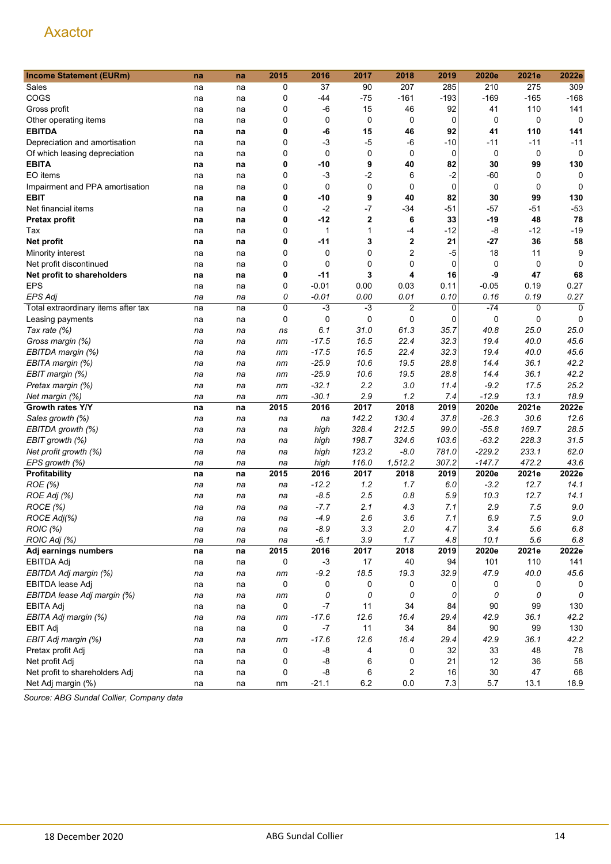| <b>Income Statement (EURm)</b>      | na | na | 2015 | 2016    | 2017         | 2018           | 2019        | 2020e    | 2021e   | 2022e       |
|-------------------------------------|----|----|------|---------|--------------|----------------|-------------|----------|---------|-------------|
| Sales                               | na | na | 0    | 37      | 90           | 207            | 285         | 210      | 275     | 309         |
| COGS                                | na | na | 0    | -44     | $-75$        | $-161$         | $-193$      | $-169$   | $-165$  | $-168$      |
| Gross profit                        | na | na | 0    | -6      | 15           | 46             | 92          | 41       | 110     | 141         |
| Other operating items               | na | na | 0    | 0       | 0            | 0              | 0           | 0        | 0       | 0           |
| <b>EBITDA</b>                       | na | na | 0    | -6      | 15           | 46             | 92          | 41       | 110     | 141         |
| Depreciation and amortisation       | na | na | 0    | $-3$    | $-5$         | -6             | $-10$       | $-11$    | -11     | $-11$       |
| Of which leasing depreciation       | na | na | 0    | 0       | 0            | 0              | 0           | 0        | 0       | 0           |
| <b>EBITA</b>                        | na | na | 0    | $-10$   | 9            | 40             | 82          | 30       | 99      | 130         |
| EO items                            | na | na | 0    | $-3$    | $-2$         | 6              | $-2$        | -60      | 0       | 0           |
| Impairment and PPA amortisation     | na | na | 0    | 0       | 0            | 0              | $\mathbf 0$ | 0        | 0       | $\mathbf 0$ |
| <b>EBIT</b>                         | na | na | 0    | -10     | 9            | 40             | 82          | 30       | 99      | 130         |
| Net financial items                 | na | na | 0    | $-2$    | $-7$         | $-34$          | $-51$       | -57      | $-51$   | $-53$       |
| <b>Pretax profit</b>                | na | na | 0    | $-12$   | $\mathbf{2}$ | 6              | 33          | $-19$    | 48      | 78          |
| Tax                                 | na | na | 0    | 1       | 1            | -4             | $-12$       | -8       | $-12$   | $-19$       |
| Net profit                          | na | na | 0    | $-11$   | 3            | $\mathbf 2$    | 21          | -27      | 36      | 58          |
| Minority interest                   | na | na | 0    | 0       | 0            | $\overline{2}$ | $-5$        | 18       | 11      | 9           |
| Net profit discontinued             | na | na | 0    | 0       | 0            | 0              | 0           | 0        | 0       | $\Omega$    |
| Net profit to shareholders          | na | na | 0    | $-11$   | 3            | 4              | 16          | -9       | 47      | 68          |
| <b>EPS</b>                          |    |    | 0    | $-0.01$ | 0.00         | 0.03           | 0.11        | $-0.05$  | 0.19    | 0.27        |
| <b>EPS Adj</b>                      | na | na | 0    | -0.01   | 0.00         | 0.01           | 0.10        | 0.16     | 0.19    | 0.27        |
| Total extraordinary items after tax | na | na | 0    | $-3$    | $-3$         | $\overline{2}$ | 0           | $-74$    | 0       | $\mathbf 0$ |
|                                     | na | na |      | 0       | 0            | 0              | 0           |          | 0       | 0           |
| Leasing payments                    | na | na | 0    |         |              |                |             | 0        |         |             |
| Tax rate (%)                        | na | na | ns   | 6.1     | 31.0         | 61.3           | 35.7        | 40.8     | 25.0    | 25.0        |
| Gross margin (%)                    | na | na | nm   | $-17.5$ | 16.5         | 22.4           | 32.3        | 19.4     | 40.0    | 45.6        |
| EBITDA margin (%)                   | na | na | nm   | $-17.5$ | 16.5         | 22.4           | 32.3        | 19.4     | 40.0    | 45.6        |
| EBITA margin (%)                    | na | na | nm   | $-25.9$ | 10.6         | 19.5           | 28.8        | 14.4     | 36.1    | 42.2        |
| EBIT margin (%)                     | na | na | nm   | $-25.9$ | 10.6         | 19.5           | 28.8        | 14.4     | 36.1    | 42.2        |
| Pretax margin (%)                   | na | na | nm   | $-32.1$ | 2.2          | 3.0            | 11.4        | $-9.2$   | 17.5    | 25.2        |
| Net margin (%)                      | na | na | nm   | $-30.1$ | 2.9          | 1.2            | 7.4         | $-12.9$  | 13.1    | 18.9        |
| Growth rates Y/Y                    | na | na | 2015 | 2016    | 2017         | 2018           | 2019        | 2020e    | 2021e   | 2022e       |
| Sales growth (%)                    | na | na | na   | na      | 142.2        | 130.4          | 37.8        | $-26.3$  | 30.6    | 12.6        |
| EBITDA growth (%)                   | na | na | na   | high    | 328.4        | 212.5          | 99.0        | $-55.8$  | 169.7   | 28.5        |
| EBIT growth (%)                     | na | na | na   | high    | 198.7        | 324.6          | 103.6       | $-63.2$  | 228.3   | 31.5        |
| Net profit growth (%)               | na | na | na   | high    | 123.2        | $-8.0$         | 781.0       | $-229.2$ | 233.1   | 62.0        |
| EPS growth (%)                      | na | na | na   | high    | 116.0        | 1,512.2        | 307.2       | $-147.7$ | 472.2   | 43.6        |
| Profitability                       | na | na | 2015 | 2016    | 2017         | 2018           | 2019        | 2020e    | 2021e   | 2022e       |
| ROE (%)                             | na | na | na   | $-12.2$ | 1.2          | 1.7            | 6.0         | $-3.2$   | 12.7    | 14.1        |
| ROE Adj (%)                         | na | na | na   | $-8.5$  | 2.5          | 0.8            | 5.9         | 10.3     | 12.7    | 14.1        |
| ROCE (%)                            | na | na | na   | $-7.7$  | 2.1          | 4.3            | 7.1         | 2.9      | 7.5     | 9.0         |
| ROCE Adj(%)                         | na | na | na   | $-4.9$  | 2.6          | 3.6            | 7.1         | 6.9      | 7.5     | 9.0         |
| ROIC (%)                            | na | na | na   | $-8.9$  | 3.3          | 2.0            | 4.7         | 3.4      | $5.6\,$ | 6.8         |
| ROIC Adj (%)                        | na | na | na   | $-6.1$  | 3.9          | 1.7            | 4.8         | 10.1     | 5.6     | 6.8         |
| Adj earnings numbers                | na | na | 2015 | 2016    | 2017         | 2018           | 2019        | 2020e    | 2021e   | 2022e       |
| EBITDA Adj                          | na | na | 0    | $-3$    | 17           | 40             | 94          | 101      | 110     | 141         |
| EBITDA Adj margin (%)               | na | na | nm   | $-9.2$  | 18.5         | 19.3           | 32.9        | 47.9     | 40.0    | 45.6        |
| EBITDA lease Adj                    | na | na | 0    | 0       | 0            | 0              | 0           | 0        | 0       | 0           |
| EBITDA lease Adj margin (%)         | na | na | nm   | 0       | 0            | 0              | 0           | 0        | 0       | 0           |
| EBITA Adj                           | na | na | 0    | $-7$    | 11           | 34             | 84          | 90       | 99      | 130         |
| EBITA Adj margin (%)                | na | na | nm   | $-17.6$ | 12.6         | 16.4           | 29.4        | 42.9     | 36.1    | 42.2        |
| <b>EBIT Adj</b>                     | na | na | 0    | $-7$    | 11           | 34             | 84          | 90       | 99      | 130         |
| EBIT Adj margin (%)                 | na | na | nm   | $-17.6$ | 12.6         | 16.4           | 29.4        | 42.9     | 36.1    | 42.2        |
| Pretax profit Adj                   | na | na | 0    | -8      | 4            | 0              | 32          | 33       | 48      | 78          |
| Net profit Adj                      | na | na | 0    | -8      | 6            | 0              | 21          | 12       | 36      | 58          |
| Net profit to shareholders Adj      | na | na | 0    | -8      | 6            | 2              | 16          | 30       | 47      | 68          |
| Net Adj margin (%)                  | na | na | nm   | $-21.1$ | $6.2\,$      | $0.0\,$        | $7.3$       | 5.7      | 13.1    | 18.9        |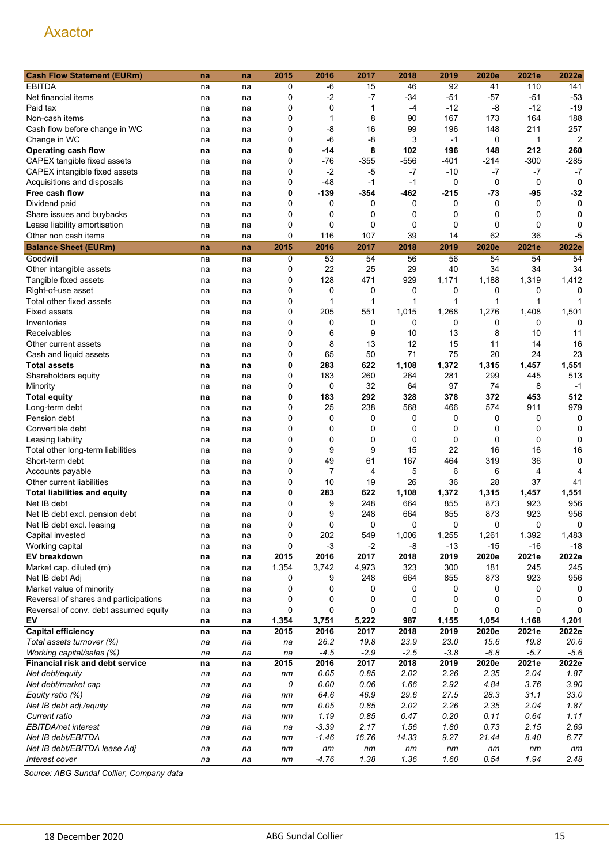| <b>Cash Flow Statement (EURm)</b>     | na | na | 2015        | 2016           | 2017        | 2018   | 2019     | 2020e    | 2021e       | 2022e  |
|---------------------------------------|----|----|-------------|----------------|-------------|--------|----------|----------|-------------|--------|
| <b>EBITDA</b>                         | na | na | 0           | $-6$           | 15          | 46     | 92       | 41       | 110         | 141    |
| Net financial items                   | na | na | 0           | $-2$           | $-7$        | $-34$  | $-51$    | $-57$    | $-51$       | $-53$  |
| Paid tax                              |    |    | 0           | 0              | 1           | -4     | $-12$    | -8       | $-12$       | $-19$  |
| Non-cash items                        | na | na | 0           | 1              | 8           | 90     | 167      | 173      | 164         | 188    |
|                                       | na | na |             |                |             |        |          |          |             |        |
| Cash flow before change in WC         | na | na | 0           | $-8$           | 16          | 99     | 196      | 148      | 211         | 257    |
| Change in WC                          | na | na | 0           | $-6$           | -8          | 3      | $-1$     | 0        | 1           | 2      |
| Operating cash flow                   | na | na | 0           | -14            | 8           | 102    | 196      | 148      | 212         | 260    |
| CAPEX tangible fixed assets           | na | na | 0           | $-76$          | $-355$      | -556   | -401     | -214     | $-300$      | $-285$ |
| CAPEX intangible fixed assets         | na | na | 0           | $-2$           | $-5$        | $-7$   | -10      | -7       | $-7$        | $-7$   |
| Acquisitions and disposals            | na | na | 0           | $-48$          | $-1$        | $-1$   | 0        | 0        | 0           | 0      |
| Free cash flow                        | na | na | 0           | $-139$         | -354        | $-462$ | -215     | -73      | $-95$       | $-32$  |
| Dividend paid                         | na | na | 0           | 0              | 0           | 0      | 0        | 0        | 0           | 0      |
| Share issues and buybacks             | na | na | 0           | 0              | 0           | 0      | 0        | 0        | 0           | 0      |
| Lease liability amortisation          | na | na | $\mathbf 0$ | 0              | 0           | 0      | 0        | 0        | $\mathbf 0$ | 0      |
| Other non cash items                  | na | na | 0           | 116            | 107         | 39     | 14       | 62       | 36          | -5     |
| <b>Balance Sheet (EURm)</b>           | na | na | 2015        | 2016           | 2017        | 2018   | 2019     | 2020e    | 2021e       | 2022e  |
| Goodwill                              | na | na | 0           | 53             | 54          | 56     | 56       | 54       | 54          | 54     |
| Other intangible assets               | na | na | 0           | 22             | 25          | 29     | 40       | 34       | 34          | 34     |
| Tangible fixed assets                 | na | na | 0           | 128            | 471         | 929    | 1,171    | 1,188    | 1,319       | 1,412  |
| Right-of-use asset                    |    |    | 0           | 0              | 0           | 0      | 0        | 0        | 0           | 0      |
|                                       | na | na |             |                |             |        |          |          |             |        |
| Total other fixed assets              | na | na | 0           | 1              | 1           | 1      | 1        | 1        | 1           |        |
| <b>Fixed assets</b>                   | na | na | 0           | 205            | 551         | 1,015  | 1,268    | 1,276    | 1,408       | 1,501  |
| Inventories                           | na | na | 0           | 0              | 0           | 0      | 0        | 0        | 0           | 0      |
| Receivables                           | na | na | 0           | 6              | 9           | 10     | 13       | 8        | 10          | 11     |
| Other current assets                  | na | na | 0           | 8              | 13          | 12     | 15       | 11       | 14          | 16     |
| Cash and liquid assets                | na | na | 0           | 65             | 50          | 71     | 75       | 20       | 24          | 23     |
| <b>Total assets</b>                   | na | na | 0           | 283            | 622         | 1,108  | 1,372    | 1,315    | 1,457       | 1,551  |
| Shareholders equity                   | na | na | 0           | 183            | 260         | 264    | 281      | 299      | 445         | 513    |
| Minority                              | na | na | 0           | 0              | 32          | 64     | 97       | 74       | 8           | $-1$   |
| <b>Total equity</b>                   | na | na | 0           | 183            | 292         | 328    | 378      | 372      | 453         | 512    |
| Long-term debt                        | na | na | 0           | 25             | 238         | 568    | 466      | 574      | 911         | 979    |
| Pension debt                          | na | na | 0           | $\mathbf 0$    | 0           | 0      | 0        | 0        | 0           | 0      |
| Convertible debt                      | na | na | 0           | 0              | 0           | 0      | 0        | 0        | 0           | 0      |
| Leasing liability                     |    |    | 0           | 0              | 0           | 0      | 0        | 0        | 0           | 0      |
|                                       | na | na | 0           | 9              | 9           | 15     | 22       | 16       | 16          | 16     |
| Total other long-term liabilities     | na | na |             |                |             |        |          |          |             |        |
| Short-term debt                       | na | na | 0           | 49             | 61          | 167    | 464      | 319      | 36          | 0      |
| Accounts payable                      | na | na | 0           | $\overline{7}$ | 4           | 5      | 6        | 6        | 4           | 4      |
| Other current liabilities             | na | na | 0           | 10             | 19          | 26     | 36       | 28       | 37          | 41     |
| <b>Total liabilities and equity</b>   | na | na | 0           | 283            | 622         | 1,108  | 1,372    | 1,315    | 1,457       | 1,551  |
| Net IB debt                           | na | na | 0           | 9              | 248         | 664    | 855      | 873      | 923         | 956    |
| Net IB debt excl. pension debt        | na | na | 0           | 9              | 248         | 664    | 855      | 873      | 923         | 956    |
| Net IB debt excl. leasing             | na | na | 0           | 0              | 0           | 0      | $\Omega$ | $\Omega$ | 0           | 0      |
| Capital invested                      | na | na | 0           | 202            | 549         | 1,006  | 1,255    | 1,261    | 1,392       | 1,483  |
| Working capital                       | na | na | 0           | $-3$           | $-2$        | -8     | $-13$    | $-15$    | $-16$       | $-18$  |
| EV breakdown                          | na | na | 2015        | 2016           | 2017        | 2018   | 2019     | 2020e    | 2021e       | 2022e  |
| Market cap. diluted (m)               | na | na | 1,354       | 3,742          | 4,973       | 323    | 300      | 181      | 245         | 245    |
| Net IB debt Adj                       | na | na | 0           | 9              | 248         | 664    | 855      | 873      | 923         | 956    |
| Market value of minority              | na | na | 0           | 0              | 0           | 0      | 0        | 0        | 0           | 0      |
| Reversal of shares and participations | na | na | 0           | 0              | 0           | 0      | 0        | 0        | 0           | 0      |
| Reversal of conv. debt assumed equity | na | na | 0           | 0              | $\mathbf 0$ | 0      | 0        | 0        | 0           |        |
| EV                                    | na | na | 1,354       | 3,751          | 5,222       | 987    | 1,155    | 1,054    | 1,168       | 1,201  |
| <b>Capital efficiency</b>             | na | na | 2015        | 2016           | 2017        | 2018   | 2019     | 2020e    | 2021e       | 2022e  |
| Total assets turnover (%)             | na | na | na          | 26.2           | 19.8        | 23.9   | 23.0     | 15.6     | 19.8        | 20.6   |
| Working capital/sales (%)             |    |    |             | $-4.5$         | $-2.9$      | $-2.5$ | $-3.8$   | $-6.8$   | $-5.7$      | $-5.6$ |
|                                       | na | na | na          |                |             |        |          |          |             |        |
| Financial risk and debt service       | na | na | 2015        | 2016           | 2017        | 2018   | 2019     | 2020e    | 2021e       | 2022e  |
| Net debt/equity                       | na | na | nm          | 0.05           | 0.85        | 2.02   | 2.26     | 2.35     | 2.04        | 1.87   |
| Net debt/market cap                   | na | na | 0           | 0.00           | 0.06        | 1.66   | 2.92     | 4.84     | 3.76        | 3.90   |
| Equity ratio (%)                      | na | na | nm          | 64.6           | 46.9        | 29.6   | 27.5     | 28.3     | 31.1        | 33.0   |
| Net IB debt adj./equity               | na | na | nm          | 0.05           | 0.85        | 2.02   | 2.26     | 2.35     | 2.04        | 1.87   |
| Current ratio                         | na | na | nm          | 1.19           | 0.85        | 0.47   | 0.20     | 0.11     | 0.64        | 1.11   |
| EBITDA/net interest                   | na | na | na          | $-3.39$        | 2.17        | 1.56   | 1.80     | 0.73     | 2.15        | 2.69   |
| Net IB debt/EBITDA                    | na | na | nm          | $-1.46$        | 16.76       | 14.33  | 9.27     | 21.44    | 8.40        | 6.77   |
| Net IB debt/EBITDA lease Adj          | na | na | nm          | nm             | nm          | nm     | nm       | nm       | nm          | nm     |
| Interest cover                        | na | na | nm          | $-4.76$        | 1.38        | 1.36   | 1.60     | 0.54     | 1.94        | 2.48   |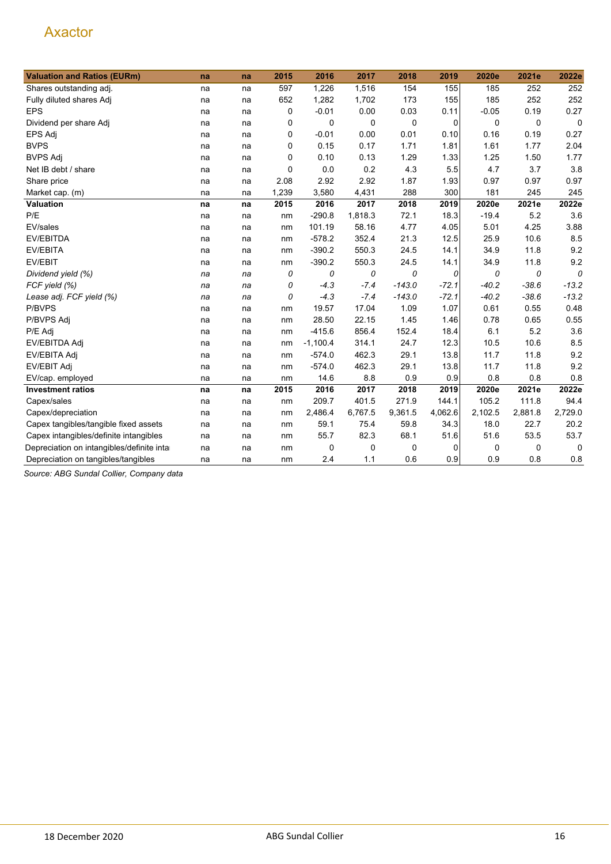| <b>Valuation and Ratios (EURm)</b>         | na | na | 2015        | 2016        | 2017    | 2018     | 2019    | 2020e   | 2021e   | 2022e       |
|--------------------------------------------|----|----|-------------|-------------|---------|----------|---------|---------|---------|-------------|
| Shares outstanding adj.                    | na | na | 597         | 1,226       | 1,516   | 154      | 155     | 185     | 252     | 252         |
| Fully diluted shares Adj                   | na | na | 652         | 1,282       | 1,702   | 173      | 155     | 185     | 252     | 252         |
| <b>EPS</b>                                 | na | na | 0           | $-0.01$     | 0.00    | 0.03     | 0.11    | $-0.05$ | 0.19    | 0.27        |
| Dividend per share Adj                     | na | na | 0           | $\mathbf 0$ | 0       | 0        | 0       | 0       | 0       | $\mathbf 0$ |
| EPS Adj                                    | na | na | 0           | $-0.01$     | 0.00    | 0.01     | 0.10    | 0.16    | 0.19    | 0.27        |
| <b>BVPS</b>                                | na | na | 0           | 0.15        | 0.17    | 1.71     | 1.81    | 1.61    | 1.77    | 2.04        |
| <b>BVPS Adj</b>                            | na | na | $\mathbf 0$ | 0.10        | 0.13    | 1.29     | 1.33    | 1.25    | 1.50    | 1.77        |
| Net IB debt / share                        | na | na | $\mathbf 0$ | 0.0         | 0.2     | 4.3      | 5.5     | 4.7     | 3.7     | 3.8         |
| Share price                                | na | na | 2.08        | 2.92        | 2.92    | 1.87     | 1.93    | 0.97    | 0.97    | 0.97        |
| Market cap. (m)                            | na | na | 1,239       | 3,580       | 4,431   | 288      | 300     | 181     | 245     | 245         |
| Valuation                                  | na | na | 2015        | 2016        | 2017    | 2018     | 2019    | 2020e   | 2021e   | 2022e       |
| P/E                                        | na | na | nm          | $-290.8$    | 1,818.3 | 72.1     | 18.3    | $-19.4$ | 5.2     | 3.6         |
| EV/sales                                   | na | na | nm          | 101.19      | 58.16   | 4.77     | 4.05    | 5.01    | 4.25    | 3.88        |
| EV/EBITDA                                  | na | na | nm          | $-578.2$    | 352.4   | 21.3     | 12.5    | 25.9    | 10.6    | 8.5         |
| <b>EV/EBITA</b>                            | na | na | nm          | $-390.2$    | 550.3   | 24.5     | 14.1    | 34.9    | 11.8    | 9.2         |
| EV/EBIT                                    | na | na | nm          | $-390.2$    | 550.3   | 24.5     | 14.1    | 34.9    | 11.8    | 9.2         |
| Dividend yield (%)                         | na | na | 0           | 0           | 0       | 0        | 0       | 0       | 0       | 0           |
| FCF yield (%)                              | na | na | 0           | $-4.3$      | $-7.4$  | $-143.0$ | $-72.1$ | $-40.2$ | $-38.6$ | $-13.2$     |
| Lease adj. FCF yield (%)                   | na | na | 0           | $-4.3$      | $-7.4$  | $-143.0$ | $-72.1$ | $-40.2$ | $-38.6$ | $-13.2$     |
| P/BVPS                                     | na | na | nm          | 19.57       | 17.04   | 1.09     | 1.07    | 0.61    | 0.55    | 0.48        |
| P/BVPS Adj                                 | na | na | nm          | 28.50       | 22.15   | 1.45     | 1.46    | 0.78    | 0.65    | 0.55        |
| P/E Adj                                    | na | na | nm          | $-415.6$    | 856.4   | 152.4    | 18.4    | 6.1     | 5.2     | 3.6         |
| EV/EBITDA Adj                              | na | na | nm          | $-1,100.4$  | 314.1   | 24.7     | 12.3    | 10.5    | 10.6    | 8.5         |
| EV/EBITA Adj                               | na | na | nm          | $-574.0$    | 462.3   | 29.1     | 13.8    | 11.7    | 11.8    | 9.2         |
| EV/EBIT Adj                                | na | na | nm          | $-574.0$    | 462.3   | 29.1     | 13.8    | 11.7    | 11.8    | 9.2         |
| EV/cap. employed                           | na | na | nm          | 14.6        | 8.8     | 0.9      | 0.9     | 0.8     | 0.8     | 0.8         |
| <b>Investment ratios</b>                   | na | na | 2015        | 2016        | 2017    | 2018     | 2019    | 2020e   | 2021e   | 2022e       |
| Capex/sales                                | na | na | nm          | 209.7       | 401.5   | 271.9    | 144.1   | 105.2   | 111.8   | 94.4        |
| Capex/depreciation                         | na | na | nm          | 2,486.4     | 6,767.5 | 9,361.5  | 4,062.6 | 2,102.5 | 2,881.8 | 2,729.0     |
| Capex tangibles/tangible fixed assets      | na | na | nm          | 59.1        | 75.4    | 59.8     | 34.3    | 18.0    | 22.7    | 20.2        |
| Capex intangibles/definite intangibles     | na | na | nm          | 55.7        | 82.3    | 68.1     | 51.6    | 51.6    | 53.5    | 53.7        |
| Depreciation on intangibles/definite intar | na | na | nm          | 0           | 0       | 0        | 0       | 0       | 0       | 0           |
| Depreciation on tangibles/tangibles        | na | na | nm          | 2.4         | 1.1     | 0.6      | 0.9     | 0.9     | 0.8     | 0.8         |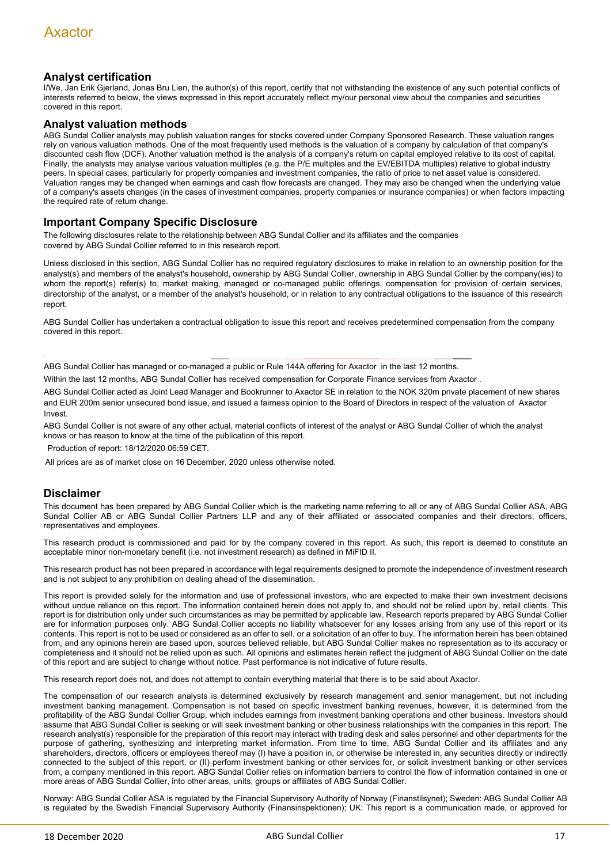## **Analyst certification**

I/We, Jan Erik Gjerland, Jonas Bru Lien, the author(s) of this report, certify that not withstanding the existence of any such potential conflicts of interests referred to below, the views expressed in this report accurately reflect my/our personal view about the companies and securities covered in this report.

#### **Analyst valuation methods**

ABG Sundal Collier analysts may publish valuation ranges for stocks covered under Company Sponsored Research. These valuation ranges rely on various valuation methods. One of the most frequently used methods is the valuation of a company by calculation of that company's discounted cash flow (DCF). Another valuation method is the analysis of a company's return on capital employed relative to its cost of capital. Finally, the analysts may analyse various valuation multiples (e.g. the P/E multiples and the EV/EBITDA multiples) relative to global industry peers. In special cases, particularly for property companies and investment companies, the ratio of price to net asset value is considered. Valuation ranges may be changed when earnings and cash flow forecasts are changed. They may also be changed when the underlying value of a company's assets changes (in the cases of investment companies, property companies or insurance companies) or when factors impacting the required rate of return change.

#### **Important Company Specific Disclosure**

The following disclosures relate to the relationship between ABG Sundal Collier and its affiliates and the companies covered by ABG Sundal Collier referred to in this research report.

Unless disclosed in this section, ABG Sundal Collier has no required regulatory disclosures to make in relation to an ownership position for the analyst(s) and members of the analyst's household, ownership by ABG Sundal Collier, ownership in ABG Sundal Collier by the company(ies) to whom the report(s) refer(s) to, market making, managed or co-managed public offerings, compensation for provision of certain services, directorship of the analyst, or a member of the analyst's household, or in relation to any contractual obligations to the issuance of this research report.

ABG Sundal Collier has undertaken a contractual obligation to issue this report and receives predetermined compensation from the company covered in this report.

ABG Sundal Collier has managed or co-managed a public or Rule 144A offering for Axactor in the last 12 months.

Within the last 12 months, ABG Sundal Collier has received compensation for Corporate Finance services from Axactor .

ABG Sundal Collier acted as Joint Lead Manager and Bookrunner to Axactor SE in relation to the NOK 320m private placement of new shares and EUR 200m senior unsecured bond issue, and issued a fairness opinion to the Board of Directors in respect of the valuation of Axactor **Invest** 

ABG Sundal Collier is not aware of any other actual, material conflicts of interest of the analyst or ABG Sundal Collier of which the analyst knows or has reason to know at the time of the publication of this report.

Production of report: 18/12/2020 06:59 CET.

All prices are as of market close on 16 December, 2020 unless otherwise noted.

## **Disclaimer**

This document has been prepared by ABG Sundal Collier which is the marketing name referring to all or any of ABG Sundal Collier ASA, ABG Sundal Collier AB or ABG Sundal Collier Partners LLP and any of their affiliated or associated companies and their directors, officers, representatives and employees.

This research product is commissioned and paid for by the company covered in this report. As such, this report is deemed to constitute an acceptable minor non-monetary benefit (i.e. not investment research) as defined in MiFID II.

This research product has not been prepared in accordance with legal requirements designed to promote the independence of investment research and is not subject to any prohibition on dealing ahead of the dissemination.

This report is provided solely for the information and use of professional investors, who are expected to make their own investment decisions without undue reliance on this report. The information contained herein does not apply to, and should not be relied upon by, retail clients. This report is for distribution only under such circumstances as may be permitted by applicable law. Research reports prepared by ABG Sundal Collier are for information purposes only. ABG Sundal Collier accepts no liability whatsoever for any losses arising from any use of this report or its contents. This report is not to be used or considered as an offer to sell, or a solicitation of an offer to buy. The information herein has been obtained from, and any opinions herein are based upon, sources believed reliable, but ABG Sundal Collier makes no representation as to its accuracy or completeness and it should not be relied upon as such. All opinions and estimates herein reflect the judgment of ABG Sundal Collier on the date of this report and are subject to change without notice. Past performance is not indicative of future results.

This research report does not, and does not attempt to contain everything material that there is to be said about Axactor.

The compensation of our research analysts is determined exclusively by research management and senior management, but not including investment banking management. Compensation is not based on specific investment banking revenues, however, it is determined from the profitability of the ABG Sundal Collier Group, which includes earnings from investment banking operations and other business. Investors should assume that ABG Sundal Collier is seeking or will seek investment banking or other business relationships with the companies in this report. The research analyst(s) responsible for the preparation of this report may interact with trading desk and sales personnel and other departments for the purpose of gathering, synthesizing and interpreting market information. From time to time, ABG Sundal Collier and its affiliates and any shareholders, directors, officers or employees thereof may (I) have a position in, or otherwise be interested in, any securities directly or indirectly connected to the subject of this report, or (II) perform investment banking or other services for, or solicit investment banking or other services from, a company mentioned in this report. ABG Sundal Collier relies on information barriers to control the flow of information contained in one or more areas of ABG Sundal Collier, into other areas, units, groups or affiliates of ABG Sundal Collier.

Norway: ABG Sundal Collier ASA is regulated by the Financial Supervisory Authority of Norway (Finanstilsynet); Sweden: ABG Sundal Collier AB is regulated by the Swedish Financial Supervisory Authority (Finansinspektionen); UK: This report is a communication made, or approved for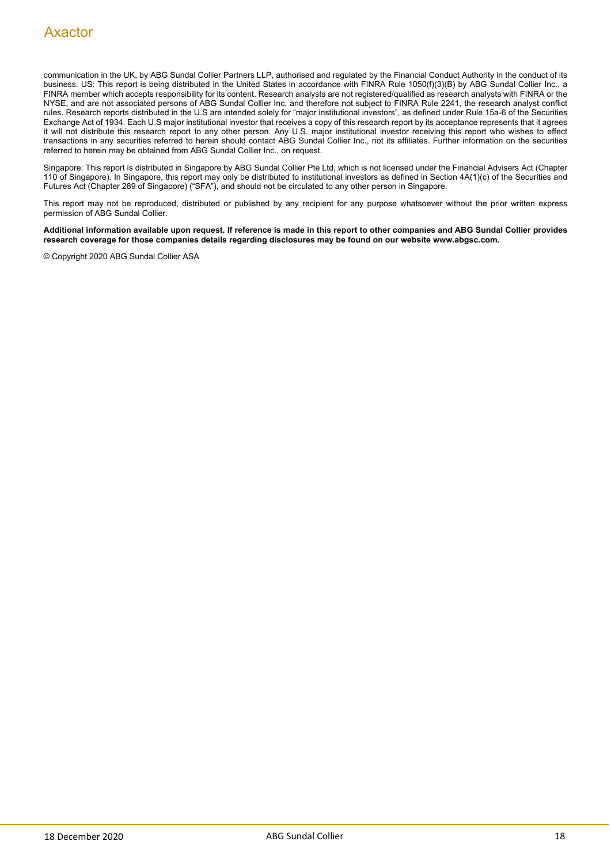communication in the UK, by ABG Sundal Collier Partners LLP, authorised and regulated by the Financial Conduct Authority in the conduct of its business. US: This report is being distributed in the United States in accordance with FINRA Rule 1050(f)(3)(B) by ABG Sundal Collier Inc., a FINRA member which accepts responsibility for its content. Research analysts are not registered/qualified as research analysts with FINRA or the NYSE, and are not associated persons of ABG Sundal Collier Inc. and therefore not subject to FINRA Rule 2241, the research analyst conflict rules. Research reports distributed in the U.S are intended solely for "major institutional investors", as defined under Rule 15a-6 of the Securities Exchange Act of 1934. Each U.S major institutional investor that receives a copy of this research report by its acceptance represents that it agrees it will not distribute this research report to any other person. Any U.S. major institutional investor receiving this report who wishes to effect transactions in any securities referred to herein should contact ABG Sundal Collier Inc., not its affiliates. Further information on the securities referred to herein may be obtained from ABG Sundal Collier Inc., on request.

Singapore: This report is distributed in Singapore by ABG Sundal Collier Pte Ltd, which is not licensed under the Financial Advisers Act (Chapter 110 of Singapore). In Singapore, this report may only be distributed to institutional investors as defined in Section 4A(1)(c) of the Securities and Futures Act (Chapter 289 of Singapore) ("SFA"), and should not be circulated to any other person in Singapore.

This report may not be reproduced, distributed or published by any recipient for any purpose whatsoever without the prior written express permission of ABG Sundal Collier.

**Additional information available upon request. If reference is made in this report to other companies and ABG Sundal Collier provides research coverage for those companies details regarding disclosures may be found on our website www.abgsc.com.**

© Copyright 2020 ABG Sundal Collier ASA